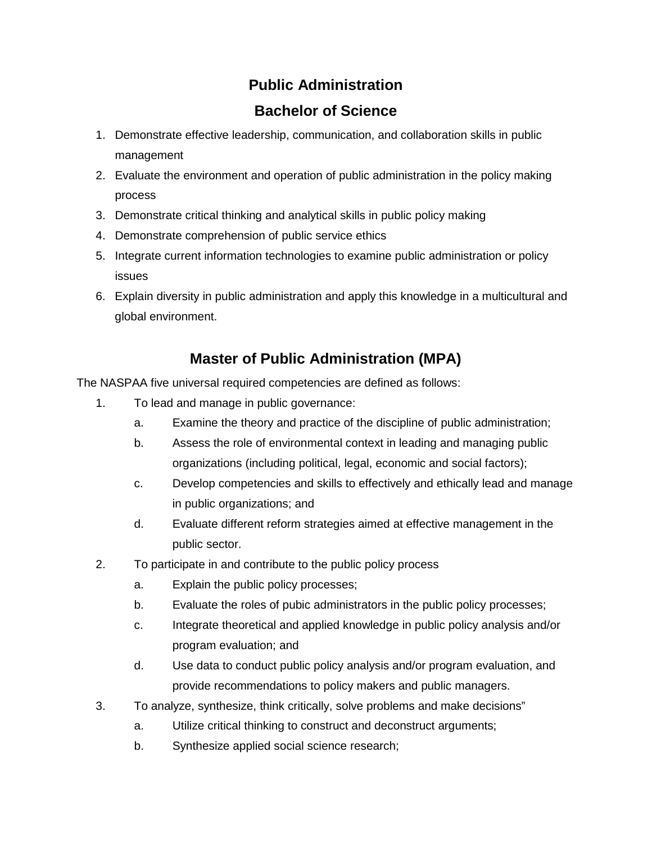## **Public Administration**

## **Bachelor of Science**

- 1. Demonstrate effective leadership, communication, and collaboration skills in public management
- 2. Evaluate the environment and operation of public administration in the policy making process
- 3. Demonstrate critical thinking and analytical skills in public policy making
- 4. Demonstrate comprehension of public service ethics
- 5. Integrate current information technologies to examine public administration or policy issues
- 6. Explain diversity in public administration and apply this knowledge in a multicultural and global environment.

## **Master of Public Administration (MPA)**

The NASPAA five universal required competencies are defined as follows:

- 1. To lead and manage in public governance:
	- a. Examine the theory and practice of the discipline of public administration;
	- b. Assess the role of environmental context in leading and managing public organizations (including political, legal, economic and social factors);
	- c. Develop competencies and skills to effectively and ethically lead and manage in public organizations; and
	- d. Evaluate different reform strategies aimed at effective management in the public sector.
- 2. To participate in and contribute to the public policy process
	- a. Explain the public policy processes;
	- b. Evaluate the roles of pubic administrators in the public policy processes;
	- c. Integrate theoretical and applied knowledge in public policy analysis and/or program evaluation; and
	- d. Use data to conduct public policy analysis and/or program evaluation, and provide recommendations to policy makers and public managers.
- 3. To analyze, synthesize, think critically, solve problems and make decisions"
	- a. Utilize critical thinking to construct and deconstruct arguments;
	- b. Synthesize applied social science research;